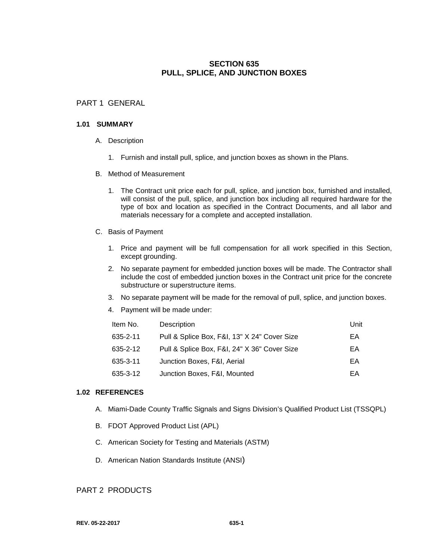# **SECTION 635 PULL, SPLICE, AND JUNCTION BOXES**

# PART 1 GENERAL

#### **1.01 SUMMARY**

- A. Description
	- 1. Furnish and install pull, splice, and junction boxes as shown in the Plans.
- B. Method of Measurement
	- 1. The Contract unit price each for pull, splice, and junction box, furnished and installed, will consist of the pull, splice, and junction box including all required hardware for the type of box and location as specified in the Contract Documents, and all labor and materials necessary for a complete and accepted installation.
- C. Basis of Payment
	- 1. Price and payment will be full compensation for all work specified in this Section, except grounding.
	- 2. No separate payment for embedded junction boxes will be made. The Contractor shall include the cost of embedded junction boxes in the Contract unit price for the concrete substructure or superstructure items.
	- 3. No separate payment will be made for the removal of pull, splice, and junction boxes.
	- 4. Payment will be made under:

| Item No. | Description                                  | Unit |
|----------|----------------------------------------------|------|
| 635-2-11 | Pull & Splice Box, F&I, 13" X 24" Cover Size | EA   |
| 635-2-12 | Pull & Splice Box, F&I, 24" X 36" Cover Size | EA   |
| 635-3-11 | Junction Boxes, F&I, Aerial                  | EA   |
| 635-3-12 | Junction Boxes, F&I, Mounted                 | ΕA   |

#### **1.02 REFERENCES**

- A. Miami-Dade County Traffic Signals and Signs Division's Qualified Product List (TSSQPL)
- B. FDOT Approved Product List (APL)
- C. American Society for Testing and Materials (ASTM)
- D. American Nation Standards Institute (ANSI)

### PART 2 PRODUCTS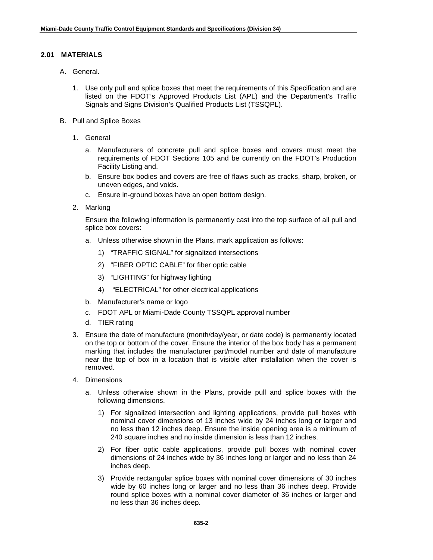### **2.01 MATERIALS**

- A. General.
	- 1. Use only pull and splice boxes that meet the requirements of this Specification and are listed on the FDOT's Approved Products List (APL) and the Department's Traffic Signals and Signs Division's Qualified Products List (TSSQPL).
- B. Pull and Splice Boxes
	- 1. General
		- a. Manufacturers of concrete pull and splice boxes and covers must meet the requirements of FDOT Sections 105 and be currently on the FDOT's Production Facility Listing and.
		- b. Ensure box bodies and covers are free of flaws such as cracks, sharp, broken, or uneven edges, and voids.
		- c. Ensure in-ground boxes have an open bottom design.
	- 2. Marking

Ensure the following information is permanently cast into the top surface of all pull and splice box covers:

- a. Unless otherwise shown in the Plans, mark application as follows:
	- 1) "TRAFFIC SIGNAL" for signalized intersections
	- 2) "FIBER OPTIC CABLE" for fiber optic cable
	- 3) "LIGHTING" for highway lighting
	- 4) "ELECTRICAL" for other electrical applications
- b. Manufacturer's name or logo
- c. FDOT APL or Miami-Dade County TSSQPL approval number
- d. TIER rating
- 3. Ensure the date of manufacture (month/day/year, or date code) is permanently located on the top or bottom of the cover. Ensure the interior of the box body has a permanent marking that includes the manufacturer part/model number and date of manufacture near the top of box in a location that is visible after installation when the cover is removed.
- 4. Dimensions
	- a. Unless otherwise shown in the Plans, provide pull and splice boxes with the following dimensions.
		- 1) For signalized intersection and lighting applications, provide pull boxes with nominal cover dimensions of 13 inches wide by 24 inches long or larger and no less than 12 inches deep. Ensure the inside opening area is a minimum of 240 square inches and no inside dimension is less than 12 inches.
		- 2) For fiber optic cable applications, provide pull boxes with nominal cover dimensions of 24 inches wide by 36 inches long or larger and no less than 24 inches deep.
		- 3) Provide rectangular splice boxes with nominal cover dimensions of 30 inches wide by 60 inches long or larger and no less than 36 inches deep. Provide round splice boxes with a nominal cover diameter of 36 inches or larger and no less than 36 inches deep.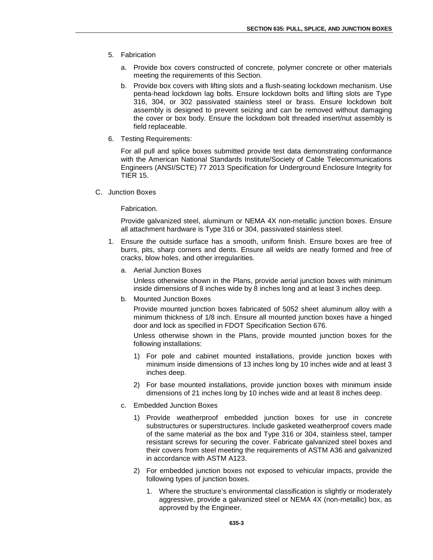- 5. Fabrication
	- a. Provide box covers constructed of concrete, polymer concrete or other materials meeting the requirements of this Section.
	- b. Provide box covers with lifting slots and a flush-seating lockdown mechanism. Use penta-head lockdown lag bolts. Ensure lockdown bolts and lifting slots are Type 316, 304, or 302 passivated stainless steel or brass. Ensure lockdown bolt assembly is designed to prevent seizing and can be removed without damaging the cover or box body. Ensure the lockdown bolt threaded insert/nut assembly is field replaceable.
- 6. Testing Requirements:

For all pull and splice boxes submitted provide test data demonstrating conformance with the American National Standards Institute/Society of Cable Telecommunications Engineers (ANSI/SCTE) 77 2013 Specification for Underground Enclosure Integrity for TIER 15.

C. Junction Boxes

Fabrication.

Provide galvanized steel, aluminum or NEMA 4X non-metallic junction boxes. Ensure all attachment hardware is Type 316 or 304, passivated stainless steel.

- 1. Ensure the outside surface has a smooth, uniform finish. Ensure boxes are free of burrs, pits, sharp corners and dents. Ensure all welds are neatly formed and free of cracks, blow holes, and other irregularities.
	- a. Aerial Junction Boxes

Unless otherwise shown in the Plans, provide aerial junction boxes with minimum inside dimensions of 8 inches wide by 8 inches long and at least 3 inches deep.

b. Mounted Junction Boxes

Provide mounted junction boxes fabricated of 5052 sheet aluminum alloy with a minimum thickness of 1/8 inch. Ensure all mounted junction boxes have a hinged door and lock as specified in FDOT Specification Section 676.

Unless otherwise shown in the Plans, provide mounted junction boxes for the following installations:

- 1) For pole and cabinet mounted installations, provide junction boxes with minimum inside dimensions of 13 inches long by 10 inches wide and at least 3 inches deep.
- 2) For base mounted installations, provide junction boxes with minimum inside dimensions of 21 inches long by 10 inches wide and at least 8 inches deep.
- c. Embedded Junction Boxes
	- 1) Provide weatherproof embedded junction boxes for use in concrete substructures or superstructures. Include gasketed weatherproof covers made of the same material as the box and Type 316 or 304, stainless steel, tamper resistant screws for securing the cover. Fabricate galvanized steel boxes and their covers from steel meeting the requirements of ASTM A36 and galvanized in accordance with ASTM A123.
	- 2) For embedded junction boxes not exposed to vehicular impacts, provide the following types of junction boxes.
		- 1. Where the structure's environmental classification is slightly or moderately aggressive, provide a galvanized steel or NEMA 4X (non-metallic) box, as approved by the Engineer.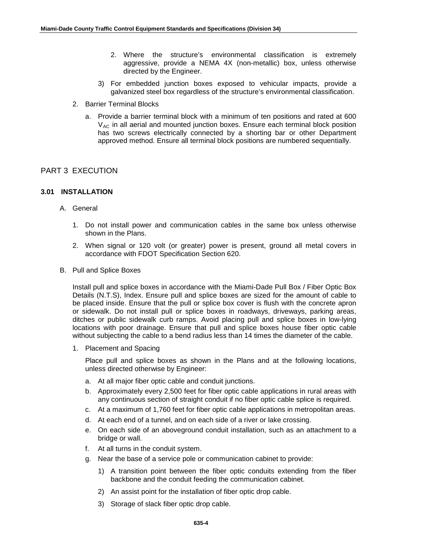- 2. Where the structure's environmental classification is extremely aggressive, provide a NEMA 4X (non-metallic) box, unless otherwise directed by the Engineer.
- 3) For embedded junction boxes exposed to vehicular impacts, provide a galvanized steel box regardless of the structure's environmental classification.
- 2. Barrier Terminal Blocks
	- a. Provide a barrier terminal block with a minimum of ten positions and rated at 600  $V_{AC}$  in all aerial and mounted junction boxes. Ensure each terminal block position has two screws electrically connected by a shorting bar or other Department approved method. Ensure all terminal block positions are numbered sequentially.

## PART 3 EXECUTION

#### **3.01 INSTALLATION**

- A. General
	- 1. Do not install power and communication cables in the same box unless otherwise shown in the Plans.
	- 2. When signal or 120 volt (or greater) power is present, ground all metal covers in accordance with FDOT Specification Section 620.
- B. Pull and Splice Boxes

Install pull and splice boxes in accordance with the Miami-Dade Pull Box / Fiber Optic Box Details (N.T.S), Index. Ensure pull and splice boxes are sized for the amount of cable to be placed inside. Ensure that the pull or splice box cover is flush with the concrete apron or sidewalk. Do not install pull or splice boxes in roadways, driveways, parking areas, ditches or public sidewalk curb ramps. Avoid placing pull and splice boxes in low-lying locations with poor drainage. Ensure that pull and splice boxes house fiber optic cable without subjecting the cable to a bend radius less than 14 times the diameter of the cable.

1. Placement and Spacing

Place pull and splice boxes as shown in the Plans and at the following locations, unless directed otherwise by Engineer:

- a. At all major fiber optic cable and conduit junctions.
- b. Approximately every 2,500 feet for fiber optic cable applications in rural areas with any continuous section of straight conduit if no fiber optic cable splice is required.
- c. At a maximum of 1,760 feet for fiber optic cable applications in metropolitan areas.
- d. At each end of a tunnel, and on each side of a river or lake crossing.
- e. On each side of an aboveground conduit installation, such as an attachment to a bridge or wall.
- f. At all turns in the conduit system.
- g. Near the base of a service pole or communication cabinet to provide:
	- 1) A transition point between the fiber optic conduits extending from the fiber backbone and the conduit feeding the communication cabinet.
	- 2) An assist point for the installation of fiber optic drop cable.
	- 3) Storage of slack fiber optic drop cable.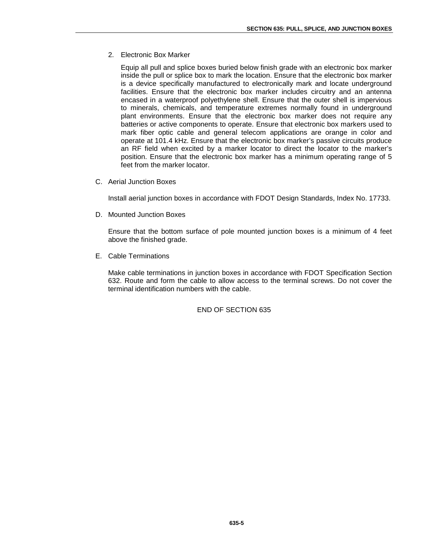2. Electronic Box Marker

Equip all pull and splice boxes buried below finish grade with an electronic box marker inside the pull or splice box to mark the location. Ensure that the electronic box marker is a device specifically manufactured to electronically mark and locate underground facilities. Ensure that the electronic box marker includes circuitry and an antenna encased in a waterproof polyethylene shell. Ensure that the outer shell is impervious to minerals, chemicals, and temperature extremes normally found in underground plant environments. Ensure that the electronic box marker does not require any batteries or active components to operate. Ensure that electronic box markers used to mark fiber optic cable and general telecom applications are orange in color and operate at 101.4 kHz. Ensure that the electronic box marker's passive circuits produce an RF field when excited by a marker locator to direct the locator to the marker's position. Ensure that the electronic box marker has a minimum operating range of 5 feet from the marker locator.

C. Aerial Junction Boxes

Install aerial junction boxes in accordance with FDOT Design Standards, Index No. 17733.

D. Mounted Junction Boxes

Ensure that the bottom surface of pole mounted junction boxes is a minimum of 4 feet above the finished grade.

E. Cable Terminations

Make cable terminations in junction boxes in accordance with FDOT Specification Section 632. Route and form the cable to allow access to the terminal screws. Do not cover the terminal identification numbers with the cable.

END OF SECTION 635